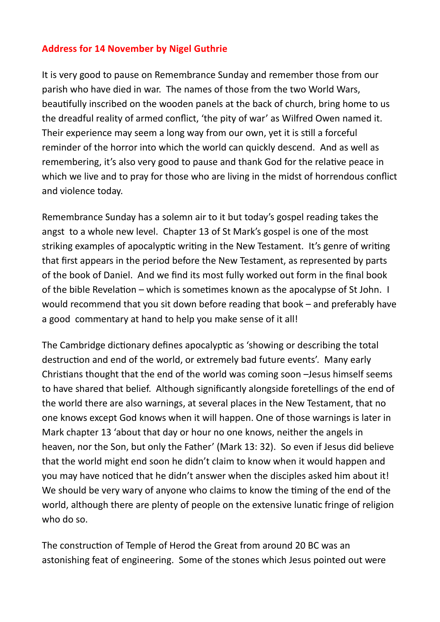## **Address for 14 November by Nigel Guthrie**

It is very good to pause on Remembrance Sunday and remember those from our parish who have died in war. The names of those from the two World Wars, beautifully inscribed on the wooden panels at the back of church, bring home to us the dreadful reality of armed conflict, 'the pity of war' as Wilfred Owen named it. Their experience may seem a long way from our own, yet it is still a forceful reminder of the horror into which the world can quickly descend. And as well as remembering, it's also very good to pause and thank God for the relative peace in which we live and to pray for those who are living in the midst of horrendous conflict and violence today.

Remembrance Sunday has a solemn air to it but today's gospel reading takes the angst to a whole new level. Chapter 13 of St Mark's gospel is one of the most striking examples of apocalyptic writing in the New Testament. It's genre of writing that first appears in the period before the New Testament, as represented by parts of the book of Daniel. And we find its most fully worked out form in the final book of the bible Revelation – which is sometimes known as the apocalypse of St John. I would recommend that you sit down before reading that book – and preferably have a good commentary at hand to help you make sense of it all!

The Cambridge dictionary defines apocalyptic as 'showing or describing the total destruction and end of the world, or extremely bad future events'. Many early Christians thought that the end of the world was coming soon –Jesus himself seems to have shared that belief. Although significantly alongside foretellings of the end of the world there are also warnings, at several places in the New Testament, that no one knows except God knows when it will happen. One of those warnings is later in Mark chapter 13 'about that day or hour no one knows, neither the angels in heaven, nor the Son, but only the Father' (Mark 13: 32). So even if Jesus did believe that the world might end soon he didn't claim to know when it would happen and you may have noticed that he didn't answer when the disciples asked him about it! We should be very wary of anyone who claims to know the timing of the end of the world, although there are plenty of people on the extensive lunatic fringe of religion who do so.

The construction of Temple of Herod the Great from around 20 BC was an astonishing feat of engineering. Some of the stones which Jesus pointed out were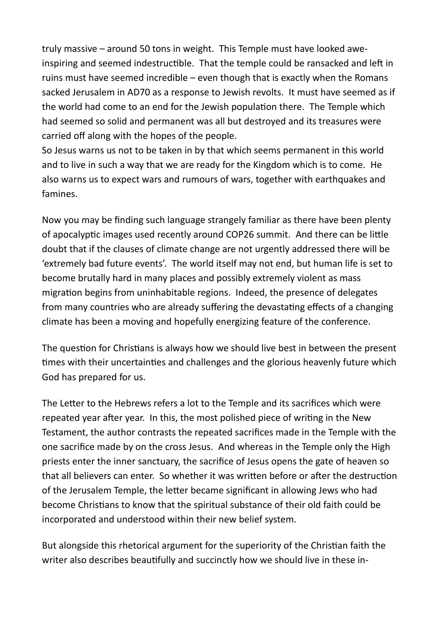truly massive – around 50 tons in weight. This Temple must have looked aweinspiring and seemed indestructible. That the temple could be ransacked and left in ruins must have seemed incredible – even though that is exactly when the Romans sacked Jerusalem in AD70 as a response to Jewish revolts. It must have seemed as if the world had come to an end for the Jewish population there. The Temple which had seemed so solid and permanent was all but destroyed and its treasures were carried off along with the hopes of the people.

So Jesus warns us not to be taken in by that which seems permanent in this world and to live in such a way that we are ready for the Kingdom which is to come. He also warns us to expect wars and rumours of wars, together with earthquakes and famines.

Now you may be finding such language strangely familiar as there have been plenty of apocalyptic images used recently around COP26 summit. And there can be little doubt that if the clauses of climate change are not urgently addressed there will be 'extremely bad future events'. The world itself may not end, but human life is set to become brutally hard in many places and possibly extremely violent as mass migration begins from uninhabitable regions. Indeed, the presence of delegates from many countries who are already suffering the devastating effects of a changing climate has been a moving and hopefully energizing feature of the conference.

The question for Christians is always how we should live best in between the present times with their uncertainties and challenges and the glorious heavenly future which God has prepared for us.

The Letter to the Hebrews refers a lot to the Temple and its sacrifices which were repeated year after year. In this, the most polished piece of writing in the New Testament, the author contrasts the repeated sacrifices made in the Temple with the one sacrifice made by on the cross Jesus. And whereas in the Temple only the High priests enter the inner sanctuary, the sacrifice of Jesus opens the gate of heaven so that all believers can enter. So whether it was written before or after the destruction of the Jerusalem Temple, the letter became significant in allowing Jews who had become Christians to know that the spiritual substance of their old faith could be incorporated and understood within their new belief system.

But alongside this rhetorical argument for the superiority of the Christian faith the writer also describes beautifully and succinctly how we should live in these in